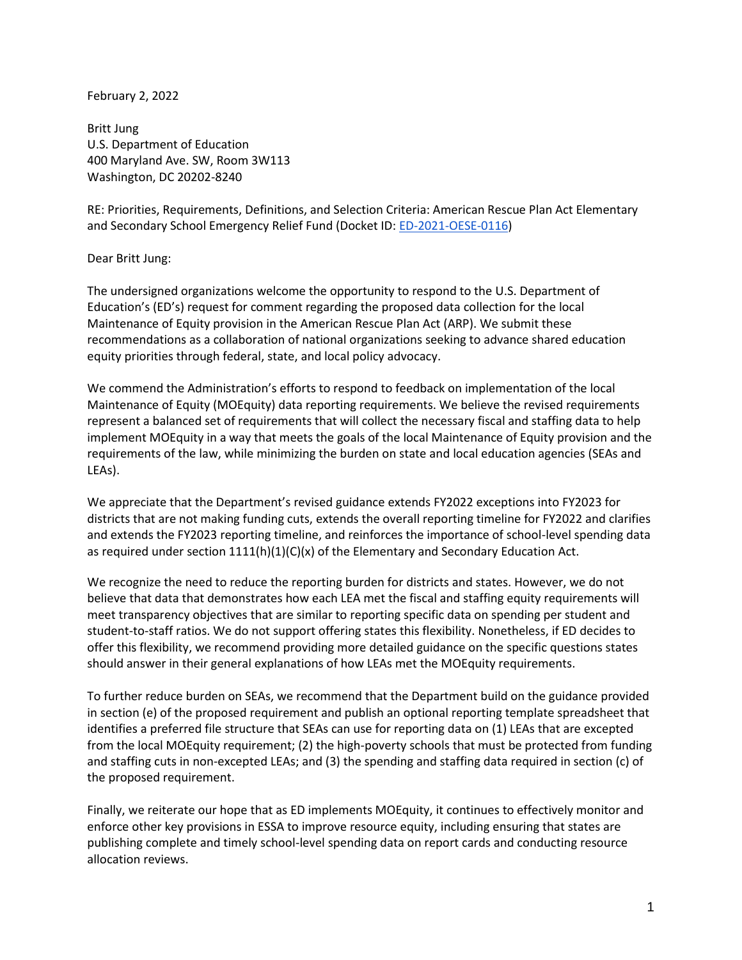February 2, 2022

Britt Jung U.S. Department of Education 400 Maryland Ave. SW, Room 3W113 Washington, DC 20202-8240

RE: Priorities, Requirements, Definitions, and Selection Criteria: American Rescue Plan Act Elementary and Secondary School Emergency Relief Fund (Docket ID: [ED-2021-OESE-0116\)](https://www.federalregister.gov/documents/2022/01/03/2021-28376/proposed-requirement-american-rescue-plan-act-elementary-and-secondary-school-emergency-relief-fund)

## Dear Britt Jung:

The undersigned organizations welcome the opportunity to respond to the U.S. Department of Education's (ED's) request for comment regarding the proposed data collection for the local Maintenance of Equity provision in the American Rescue Plan Act (ARP). We submit these recommendations as a collaboration of national organizations seeking to advance shared education equity priorities through federal, state, and local policy advocacy.

We commend the Administration's efforts to respond to feedback on implementation of the local Maintenance of Equity (MOEquity) data reporting requirements. We believe the revised requirements represent a balanced set of requirements that will collect the necessary fiscal and staffing data to help implement MOEquity in a way that meets the goals of the local Maintenance of Equity provision and the requirements of the law, while minimizing the burden on state and local education agencies (SEAs and LEAs).

We appreciate that the Department's revised guidance extends FY2022 exceptions into FY2023 for districts that are not making funding cuts, extends the overall reporting timeline for FY2022 and clarifies and extends the FY2023 reporting timeline, and reinforces the importance of school-level spending data as required under section  $1111(h)(1)(C)(x)$  of the Elementary and Secondary Education Act.

We recognize the need to reduce the reporting burden for districts and states. However, we do not believe that data that demonstrates how each LEA met the fiscal and staffing equity requirements will meet transparency objectives that are similar to reporting specific data on spending per student and student-to-staff ratios. We do not support offering states this flexibility. Nonetheless, if ED decides to offer this flexibility, we recommend providing more detailed guidance on the specific questions states should answer in their general explanations of how LEAs met the MOEquity requirements.

To further reduce burden on SEAs, we recommend that the Department build on the guidance provided in section (e) of the proposed requirement and publish an optional reporting template spreadsheet that identifies a preferred file structure that SEAs can use for reporting data on (1) LEAs that are excepted from the local MOEquity requirement; (2) the high-poverty schools that must be protected from funding and staffing cuts in non-excepted LEAs; and (3) the spending and staffing data required in section (c) of the proposed requirement.

Finally, we reiterate our hope that as ED implements MOEquity, it continues to effectively monitor and enforce other key provisions in ESSA to improve resource equity, including ensuring that states are publishing complete and timely school-level spending data on report cards and conducting resource allocation reviews.